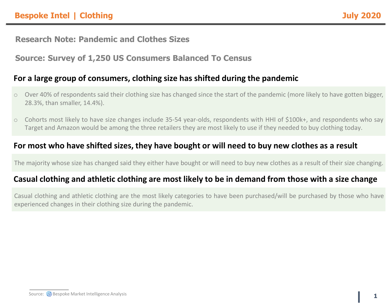## **Research Note: Pandemic and Clothes Sizes**

# **Source: Survey of 1,250 US Consumers Balanced To Census**

### **For a large group of consumers, clothing size has shifted during the pandemic**

- o Over 40% of respondents said their clothing size has changed since the start of the pandemic (more likely to have gotten bigger, 28.3%, than smaller, 14.4%).
- o Cohorts most likely to have size changes include 35-54 year-olds, respondents with HHI of \$100k+, and respondents who say Target and Amazon would be among the three retailers they are most likely to use if they needed to buy clothing today.

## **For most who have shifted sizes, they have bought or will need to buy new clothes as a result**

The majority whose size has changed said they either have bought or will need to buy new clothes as a result of their size changing.

# **Casual clothing and athletic clothing are most likely to be in demand from those with a size change**

Casual clothing and athletic clothing are the most likely categories to have been purchased/will be purchased by those who have experienced changes in their clothing size during the pandemic.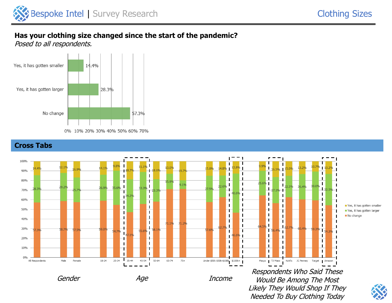Needed To Buy Clothing Today

### **Has your clothing size changed since the start of the pandemic?**

Posed to all respondents.





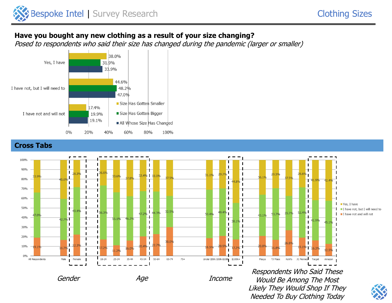Needed To Buy Clothing Today

### **Have you bought any new clothing as a result of your size changing?**

Posed to respondents who said their size has changed during the pandemic (larger or smaller)



#### **Cross Tabs**